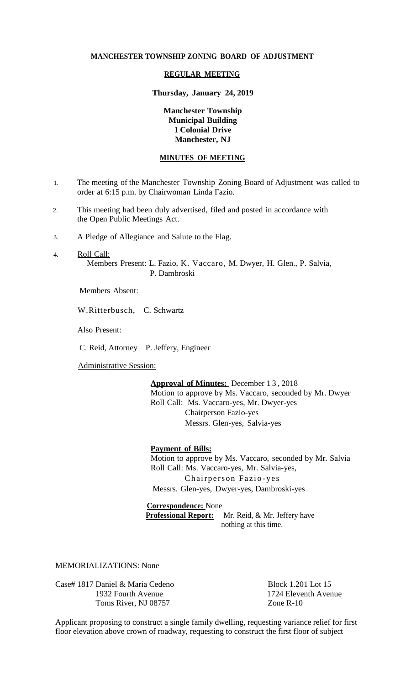## **MANCHESTER TOWNSHIP ZONING BOARD OF ADJUSTMENT**

### **REGULAR MEETING**

#### **Thursday, January 24, 2019**

# **Manchester Township Municipal Building 1 Colonial Drive Manchester, NJ**

# **MINUTES OF MEETING**

- 1. The meeting of the Manchester Township Zoning Board of Adjustment was called to order at 6:15 p.m. by Chairwoman Linda Fazio.
- 2. This meeting had been duly advertised, filed and posted in accordance with the Open Public Meetings Act.
- 3. A Pledge of Allegiance and Salute to the Flag.
- 4. Roll Call: Members Present: L. Fazio, K. Vaccaro, M. Dwyer, H. Glen., P. Salvia, P. Dambroski

Members Absent:

W.Ritterbusch, C. Schwartz

Also Present:

C. Reid, Attorney P. Jeffery, Engineer

Administrative Session:

**Approval of Minutes:** December 1 3 , 2018 Motion to approve by Ms. Vaccaro, seconded by Mr. Dwyer

Roll Call: Ms. Vaccaro-yes, Mr. Dwyer-yes Chairperson Fazio-yes Messrs. Glen-yes, Salvia-yes

# **Payment of Bills:**

Motion to approve by Ms. Vaccaro, seconded by Mr. Salvia Roll Call: Ms. Vaccaro-yes, Mr. Salvia-yes, Chairperson Fazio-yes Messrs. Glen-yes, Dwyer-yes, Dambroski-yes

**Correspondence:** None  **Professional Report:** Mr. Reid, & Mr. Jeffery have nothing at this time.

MEMORIALIZATIONS: None

Case# 1817 Daniel & Maria Cedeno Block 1.201 Lot 15 1932 Fourth Avenue 1724 Eleventh Avenue Toms River, NJ 08757 Zone R-10

Applicant proposing to construct a single family dwelling, requesting variance relief for first floor elevation above crown of roadway, requesting to construct the first floor of subject